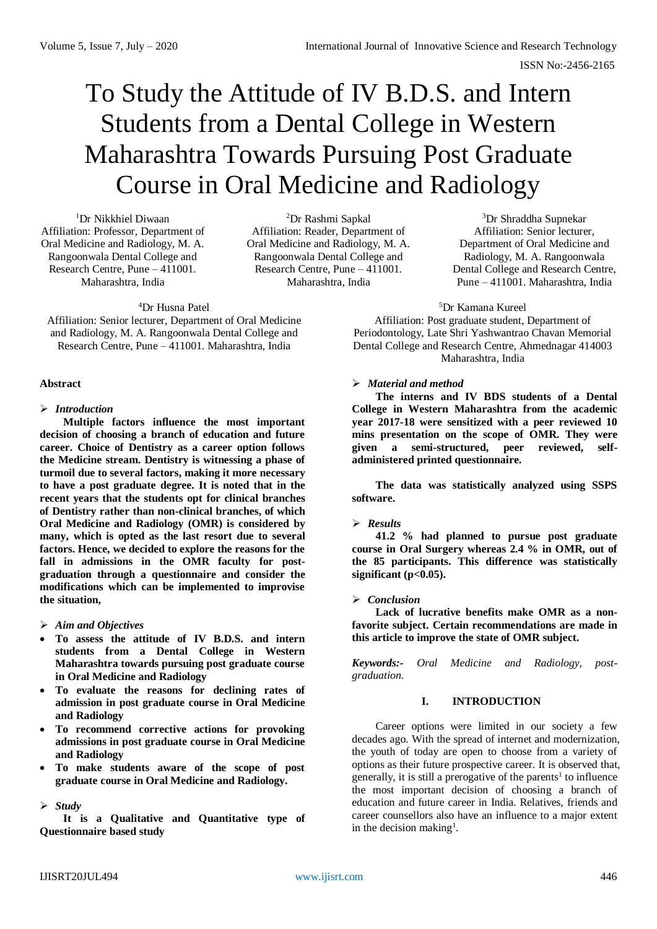# To Study the Attitude of IV B.D.S. and Intern Students from a Dental College in Western Maharashtra Towards Pursuing Post Graduate Course in Oral Medicine and Radiology

<sup>1</sup>Dr Nikkhiel Diwaan Affiliation: Professor, Department of Oral Medicine and Radiology, M. A. Rangoonwala Dental College and Research Centre, Pune – 411001. Maharashtra, India

<sup>2</sup>Dr Rashmi Sapkal Affiliation: Reader, Department of Oral Medicine and Radiology, M. A. Rangoonwala Dental College and Research Centre, Pune – 411001. Maharashtra, India

<sup>3</sup>Dr Shraddha Supnekar Affiliation: Senior lecturer, Department of Oral Medicine and Radiology, M. A. Rangoonwala Dental College and Research Centre, Pune – 411001. Maharashtra, India

#### <sup>5</sup>Dr Kamana Kureel

Affiliation: Post graduate student, Department of Periodontology, Late Shri Yashwantrao Chavan Memorial Dental College and Research Centre, Ahmednagar 414003 Maharashtra, India

### *Material and method*

**The interns and IV BDS students of a Dental College in Western Maharashtra from the academic year 2017-18 were sensitized with a peer reviewed 10 mins presentation on the scope of OMR. They were given a semi-structured, peer reviewed, selfadministered printed questionnaire.** 

**The data was statistically analyzed using SSPS software.** 

*Results*

**41.2 % had planned to pursue post graduate course in Oral Surgery whereas 2.4 % in OMR, out of the 85 participants. This difference was statistically**   $significant (p<0.05)$ .

## *Conclusion*

**Lack of lucrative benefits make OMR as a nonfavorite subject. Certain recommendations are made in this article to improve the state of OMR subject.**

*Keywords:- Oral Medicine and Radiology, postgraduation.*

# **I. INTRODUCTION**

Career options were limited in our society a few decades ago. With the spread of internet and modernization, the youth of today are open to choose from a variety of options as their future prospective career. It is observed that, generally, it is still a prerogative of the parents<sup>1</sup> to influence the most important decision of choosing a branch of education and future career in India. Relatives, friends and career counsellors also have an influence to a major extent in the decision making<sup>1</sup>.

Affiliation: Senior lecturer, Department of Oral Medicine

and Radiology, M. A. Rangoonwala Dental College and Research Centre, Pune – 411001. Maharashtra, India

<sup>4</sup>Dr Husna Patel

### **Abstract**

# *Introduction*

**Multiple factors influence the most important decision of choosing a branch of education and future career. Choice of Dentistry as a career option follows the Medicine stream. Dentistry is witnessing a phase of turmoil due to several factors, making it more necessary to have a post graduate degree. It is noted that in the recent years that the students opt for clinical branches of Dentistry rather than non-clinical branches, of which Oral Medicine and Radiology (OMR) is considered by many, which is opted as the last resort due to several factors. Hence, we decided to explore the reasons for the fall in admissions in the OMR faculty for postgraduation through a questionnaire and consider the modifications which can be implemented to improvise the situation,** 

## *Aim and Objectives*

- **To assess the attitude of IV B.D.S. and intern students from a Dental College in Western Maharashtra towards pursuing post graduate course in Oral Medicine and Radiology**
- **To evaluate the reasons for declining rates of admission in post graduate course in Oral Medicine and Radiology**
- **To recommend corrective actions for provoking admissions in post graduate course in Oral Medicine and Radiology**
- **To make students aware of the scope of post graduate course in Oral Medicine and Radiology.**

## *Study*

**It is a Qualitative and Quantitative type of Questionnaire based study**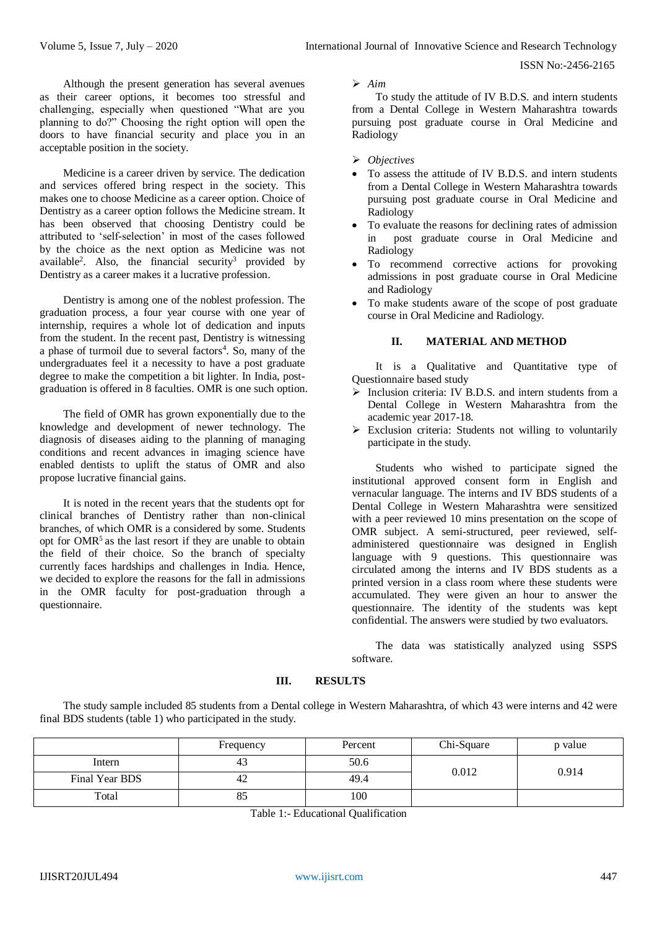ISSN No:-2456-2165

Although the present generation has several avenues as their career options, it becomes too stressful and challenging, especially when questioned "What are you planning to do?" Choosing the right option will open the doors to have financial security and place you in an acceptable position in the society.

Medicine is a career driven by service. The dedication and services offered bring respect in the society. This makes one to choose Medicine as a career option. Choice of Dentistry as a career option follows the Medicine stream. It has been observed that choosing Dentistry could be attributed to 'self-selection' in most of the cases followed by the choice as the next option as Medicine was not available<sup>2</sup>. Also, the financial security<sup>3</sup> provided by Dentistry as a career makes it a lucrative profession.

Dentistry is among one of the noblest profession. The graduation process, a four year course with one year of internship, requires a whole lot of dedication and inputs from the student. In the recent past, Dentistry is witnessing a phase of turmoil due to several factors<sup>4</sup>. So, many of the undergraduates feel it a necessity to have a post graduate degree to make the competition a bit lighter. In India, postgraduation is offered in 8 faculties. OMR is one such option.

The field of OMR has grown exponentially due to the knowledge and development of newer technology. The diagnosis of diseases aiding to the planning of managing conditions and recent advances in imaging science have enabled dentists to uplift the status of OMR and also propose lucrative financial gains.

It is noted in the recent years that the students opt for clinical branches of Dentistry rather than non-clinical branches, of which OMR is a considered by some. Students opt for OMR<sup>5</sup>as the last resort if they are unable to obtain the field of their choice. So the branch of specialty currently faces hardships and challenges in India. Hence, we decided to explore the reasons for the fall in admissions in the OMR faculty for post-graduation through a questionnaire.

*Aim*

To study the attitude of IV B.D.S. and intern students from a Dental College in Western Maharashtra towards pursuing post graduate course in Oral Medicine and Radiology

## *Objectives*

- To assess the attitude of IV B.D.S. and intern students from a Dental College in Western Maharashtra towards pursuing post graduate course in Oral Medicine and Radiology
- To evaluate the reasons for declining rates of admission in post graduate course in Oral Medicine and Radiology
- To recommend corrective actions for provoking admissions in post graduate course in Oral Medicine and Radiology
- To make students aware of the scope of post graduate course in Oral Medicine and Radiology.

# **II. MATERIAL AND METHOD**

It is a Qualitative and Quantitative type of Questionnaire based study

- $\triangleright$  Inclusion criteria: IV B.D.S. and intern students from a Dental College in Western Maharashtra from the academic year 2017-18.
- $\triangleright$  Exclusion criteria: Students not willing to voluntarily participate in the study.

Students who wished to participate signed the institutional approved consent form in English and vernacular language. The interns and IV BDS students of a Dental College in Western Maharashtra were sensitized with a peer reviewed 10 mins presentation on the scope of OMR subject. A semi-structured, peer reviewed, selfadministered questionnaire was designed in English language with 9 questions. This questionnaire was circulated among the interns and IV BDS students as a printed version in a class room where these students were accumulated. They were given an hour to answer the questionnaire. The identity of the students was kept confidential. The answers were studied by two evaluators.

The data was statistically analyzed using SSPS software.

### **III. RESULTS**

The study sample included 85 students from a Dental college in Western Maharashtra, of which 43 were interns and 42 were final BDS students (table 1) who participated in the study.

|                | Frequency | Percent       | Chi-Square | p value |
|----------------|-----------|---------------|------------|---------|
| Intern         | 43        | 50.6<br>0.012 |            | 0.914   |
| Final Year BDS | 42        | 49.4          |            |         |
| Total          | 83        | 100           |            |         |

Table 1:- Educational Qualification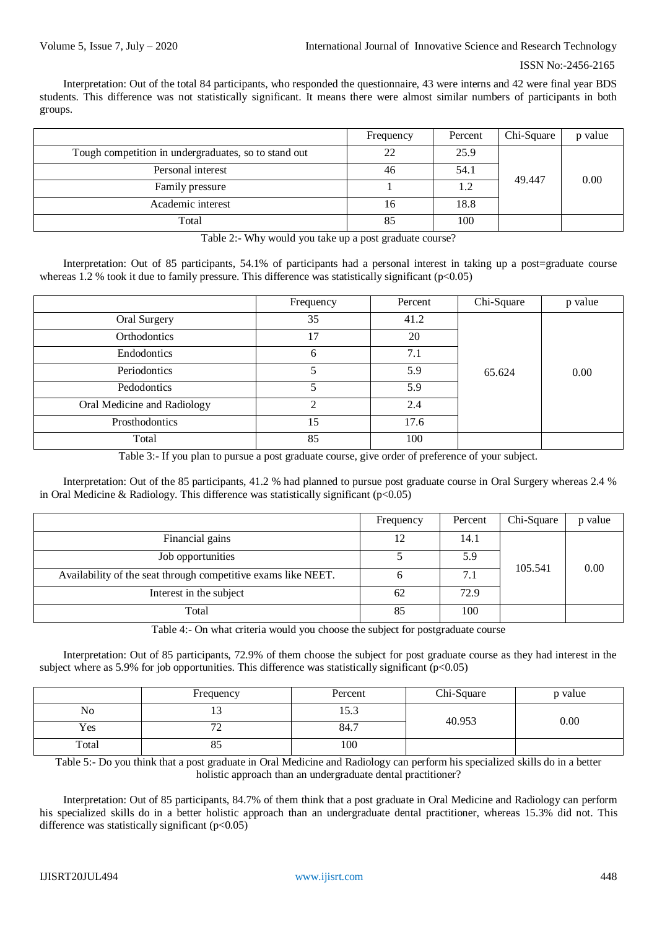Interpretation: Out of the total 84 participants, who responded the questionnaire, 43 were interns and 42 were final year BDS students. This difference was not statistically significant. It means there were almost similar numbers of participants in both groups.

|                                                      | Frequency | Percent | Chi-Square | p value |
|------------------------------------------------------|-----------|---------|------------|---------|
| Tough competition in undergraduates, so to stand out | 22        | 25.9    |            |         |
| Personal interest                                    | 46        | 54.1    |            | 0.00    |
| Family pressure                                      |           |         |            |         |
| Academic interest                                    | 16        | 18.8    | 49.447     |         |
| Total                                                | 85        | 100     |            |         |

Table 2:- Why would you take up a post graduate course?

Interpretation: Out of 85 participants, 54.1% of participants had a personal interest in taking up a post=graduate course whereas 1.2 % took it due to family pressure. This difference was statistically significant  $(p<0.05)$ 

|                             | Frequency | Percent | Chi-Square | p value |
|-----------------------------|-----------|---------|------------|---------|
| Oral Surgery                | 35        | 41.2    |            |         |
| Orthodontics                | 17        | 20      |            |         |
| Endodontics                 | 6         | 7.1     |            |         |
| Periodontics                | 5         | 5.9     | 65.624     | 0.00    |
| Pedodontics                 | 5         | 5.9     |            |         |
| Oral Medicine and Radiology |           | 2.4     |            |         |
| Prosthodontics              | 15        | 17.6    |            |         |
| Total                       | 85        | 100     |            |         |

Table 3:- If you plan to pursue a post graduate course, give order of preference of your subject.

Interpretation: Out of the 85 participants, 41.2 % had planned to pursue post graduate course in Oral Surgery whereas 2.4 % in Oral Medicine & Radiology. This difference was statistically significant ( $p<0.05$ )

|                                                               | Frequency | Percent | Chi-Square | p value |
|---------------------------------------------------------------|-----------|---------|------------|---------|
| Financial gains                                               | 12        | 14.1    |            |         |
| Job opportunities                                             |           | 5.9     |            |         |
| Availability of the seat through competitive exams like NEET. |           | 7.1     | 105.541    | 0.00    |
| Interest in the subject                                       | 62        | 72.9    |            |         |
| Total                                                         | 85        | 100     |            |         |

Table 4:- On what criteria would you choose the subject for postgraduate course

Interpretation: Out of 85 participants, 72.9% of them choose the subject for post graduate course as they had interest in the subject where as 5.9% for job opportunities. This difference was statistically significant ( $p<0.05$ )

|       | Frequency           | Percent | Chi-Square | p value |
|-------|---------------------|---------|------------|---------|
| No    |                     | 15.3    |            |         |
| Yes   | $\mathbf{a}$<br>∸   | 84.7    | 40.953     | 0.00    |
| Total | $\sim$ $\sim$<br>ΟJ | 100     |            |         |

Table 5:- Do you think that a post graduate in Oral Medicine and Radiology can perform his specialized skills do in a better holistic approach than an undergraduate dental practitioner?

Interpretation: Out of 85 participants, 84.7% of them think that a post graduate in Oral Medicine and Radiology can perform his specialized skills do in a better holistic approach than an undergraduate dental practitioner, whereas 15.3% did not. This difference was statistically significant  $(p<0.05)$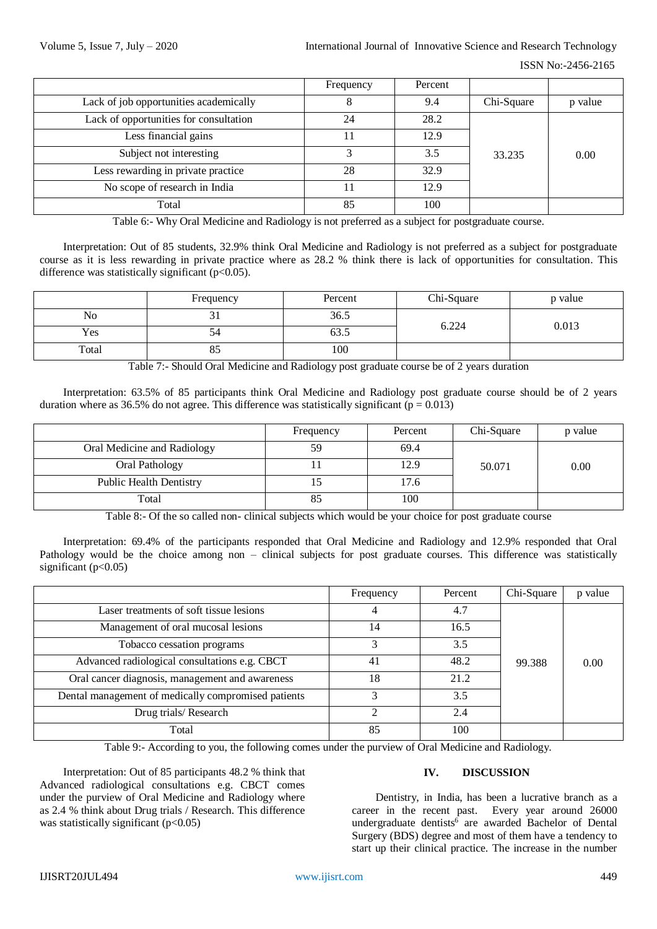ISSN No:-2456-2165

|                                        | Frequency | Percent |            |         |
|----------------------------------------|-----------|---------|------------|---------|
| Lack of job opportunities academically |           | 9.4     | Chi-Square | p value |
| Lack of opportunities for consultation | 24        | 28.2    |            |         |
| Less financial gains                   |           | 12.9    |            |         |
| Subject not interesting                |           | 3.5     | 33.235     | 0.00    |
| Less rewarding in private practice     | 28        | 32.9    |            |         |
| No scope of research in India          |           | 12.9    |            |         |
| Total                                  | 85        | 100     |            |         |

Table 6:- Why Oral Medicine and Radiology is not preferred as a subject for postgraduate course.

Interpretation: Out of 85 students, 32.9% think Oral Medicine and Radiology is not preferred as a subject for postgraduate course as it is less rewarding in private practice where as 28.2 % think there is lack of opportunities for consultation. This difference was statistically significant  $(p<0.05)$ .

|       | Frequency | Percent        | Chi-Square | p value |
|-------|-----------|----------------|------------|---------|
| No    | ັບ 1      | 36.5           |            | 0.013   |
| Yes   | J۶        | $\sim$<br>03.J | 6.224      |         |
| Total | റാ        | 100            |            |         |

Table 7:- Should Oral Medicine and Radiology post graduate course be of 2 years duration

Interpretation: 63.5% of 85 participants think Oral Medicine and Radiology post graduate course should be of 2 years duration where as 36.5% do not agree. This difference was statistically significant ( $p = 0.013$ )

|                                | Frequency | Percent | Chi-Square | p value |
|--------------------------------|-----------|---------|------------|---------|
| Oral Medicine and Radiology    | 59        | 69.4    |            |         |
| Oral Pathology                 |           | 12.9    | 50.071     | 0.00    |
| <b>Public Health Dentistry</b> |           | 17.6    |            |         |
| Total                          |           | 100     |            |         |

Table 8:- Of the so called non- clinical subjects which would be your choice for post graduate course

Interpretation: 69.4% of the participants responded that Oral Medicine and Radiology and 12.9% responded that Oral Pathology would be the choice among non – clinical subjects for post graduate courses. This difference was statistically significant  $(p<0.05)$ 

|                                                     | Frequency | Percent | Chi-Square | p value |
|-----------------------------------------------------|-----------|---------|------------|---------|
| Laser treatments of soft tissue lesions             |           | 4.7     |            |         |
| Management of oral mucosal lesions                  | 14        | 16.5    |            |         |
| Tobacco cessation programs                          |           | 3.5     |            |         |
| Advanced radiological consultations e.g. CBCT       | 41        | 48.2    | 99.388     | 0.00    |
| Oral cancer diagnosis, management and awareness     | 18        | 21.2    |            |         |
| Dental management of medically compromised patients |           | 3.5     |            |         |
| Drug trials/Research                                | ◠         | 2.4     |            |         |
| Total                                               | 85        | 100     |            |         |

Table 9:- According to you, the following comes under the purview of Oral Medicine and Radiology.

Interpretation: Out of 85 participants 48.2 % think that Advanced radiological consultations e.g. CBCT comes under the purview of Oral Medicine and Radiology where as 2.4 % think about Drug trials / Research. This difference was statistically significant  $(p<0.05)$ 

## **IV. DISCUSSION**

Dentistry, in India, has been a lucrative branch as a career in the recent past. Every year around 26000 undergraduate dentists<sup>6</sup> are awarded Bachelor of Dental Surgery (BDS) degree and most of them have a tendency to start up their clinical practice. The increase in the number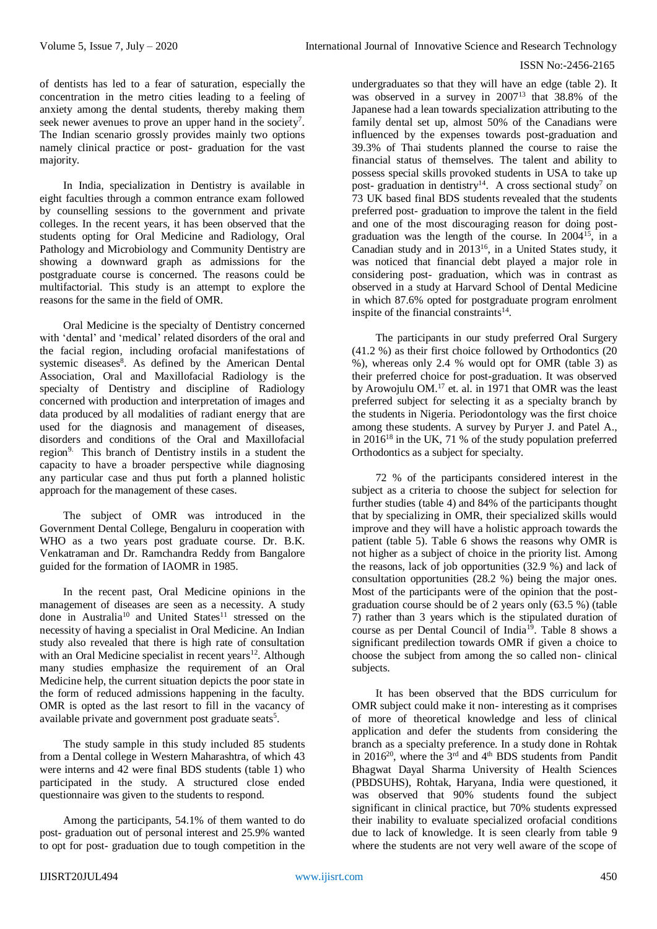### ISSN No:-2456-2165

of dentists has led to a fear of saturation, especially the concentration in the metro cities leading to a feeling of anxiety among the dental students, thereby making them seek newer avenues to prove an upper hand in the society<sup>7</sup>. The Indian scenario grossly provides mainly two options namely clinical practice or post- graduation for the vast majority.

In India, specialization in Dentistry is available in eight faculties through a common entrance exam followed by counselling sessions to the government and private colleges. In the recent years, it has been observed that the students opting for Oral Medicine and Radiology, Oral Pathology and Microbiology and Community Dentistry are showing a downward graph as admissions for the postgraduate course is concerned. The reasons could be multifactorial. This study is an attempt to explore the reasons for the same in the field of OMR.

Oral Medicine is the specialty of Dentistry concerned with 'dental' and 'medical' related disorders of the oral and the facial region, including orofacial manifestations of systemic diseases<sup>8</sup>. As defined by the American Dental Association, Oral and Maxillofacial Radiology is the specialty of Dentistry and discipline of Radiology concerned with production and interpretation of images and data produced by all modalities of radiant energy that are used for the diagnosis and management of diseases, disorders and conditions of the Oral and Maxillofacial region9. This branch of Dentistry instils in a student the capacity to have a broader perspective while diagnosing any particular case and thus put forth a planned holistic approach for the management of these cases.

The subject of OMR was introduced in the Government Dental College, Bengaluru in cooperation with WHO as a two years post graduate course. Dr. B.K. Venkatraman and Dr. Ramchandra Reddy from Bangalore guided for the formation of IAOMR in 1985.

In the recent past, Oral Medicine opinions in the management of diseases are seen as a necessity. A study done in Australia<sup>10</sup> and United States<sup>11</sup> stressed on the necessity of having a specialist in Oral Medicine. An Indian study also revealed that there is high rate of consultation with an Oral Medicine specialist in recent years<sup>12</sup>. Although many studies emphasize the requirement of an Oral Medicine help, the current situation depicts the poor state in the form of reduced admissions happening in the faculty. OMR is opted as the last resort to fill in the vacancy of available private and government post graduate seats<sup>5</sup>.

The study sample in this study included 85 students from a Dental college in Western Maharashtra, of which 43 were interns and 42 were final BDS students (table 1) who participated in the study. A structured close ended questionnaire was given to the students to respond.

Among the participants, 54.1% of them wanted to do post- graduation out of personal interest and 25.9% wanted to opt for post- graduation due to tough competition in the

undergraduates so that they will have an edge (table 2). It was observed in a survey in 2007<sup>13</sup> that 38.8% of the Japanese had a lean towards specialization attributing to the family dental set up, almost 50% of the Canadians were influenced by the expenses towards post-graduation and 39.3% of Thai students planned the course to raise the financial status of themselves. The talent and ability to possess special skills provoked students in USA to take up post- graduation in dentistry<sup>14</sup>. A cross sectional study<sup>7</sup> on 73 UK based final BDS students revealed that the students preferred post- graduation to improve the talent in the field and one of the most discouraging reason for doing postgraduation was the length of the course. In  $2004^{15}$ , in a Canadian study and in  $2013^{16}$ , in a United States study, it was noticed that financial debt played a major role in considering post- graduation, which was in contrast as observed in a study at Harvard School of Dental Medicine in which 87.6% opted for postgraduate program enrolment inspite of the financial constraints $14$ .

The participants in our study preferred Oral Surgery (41.2 %) as their first choice followed by Orthodontics (20 %), whereas only 2.4 % would opt for OMR (table 3) as their preferred choice for post-graduation. It was observed by Arowojulu OM. <sup>17</sup> et. al. in 1971 that OMR was the least preferred subject for selecting it as a specialty branch by the students in Nigeria. Periodontology was the first choice among these students. A survey by Puryer J. and Patel A., in  $2016^{18}$  in the UK, 71 % of the study population preferred Orthodontics as a subject for specialty.

72 % of the participants considered interest in the subject as a criteria to choose the subject for selection for further studies (table 4) and 84% of the participants thought that by specializing in OMR, their specialized skills would improve and they will have a holistic approach towards the patient (table 5). Table 6 shows the reasons why OMR is not higher as a subject of choice in the priority list. Among the reasons, lack of job opportunities (32.9 %) and lack of consultation opportunities (28.2 %) being the major ones. Most of the participants were of the opinion that the postgraduation course should be of 2 years only (63.5 %) (table 7) rather than 3 years which is the stipulated duration of course as per Dental Council of India<sup>19</sup>. Table 8 shows a significant predilection towards OMR if given a choice to choose the subject from among the so called non- clinical subjects.

It has been observed that the BDS curriculum for OMR subject could make it non- interesting as it comprises of more of theoretical knowledge and less of clinical application and defer the students from considering the branch as a specialty preference. In a study done in Rohtak in 2016<sup>20</sup>, where the  $3<sup>rd</sup>$  and  $4<sup>th</sup>$  BDS students from Pandit Bhagwat Dayal Sharma University of Health Sciences (PBDSUHS), Rohtak, Haryana, India were questioned, it was observed that 90% students found the subject significant in clinical practice, but 70% students expressed their inability to evaluate specialized orofacial conditions due to lack of knowledge. It is seen clearly from table 9 where the students are not very well aware of the scope of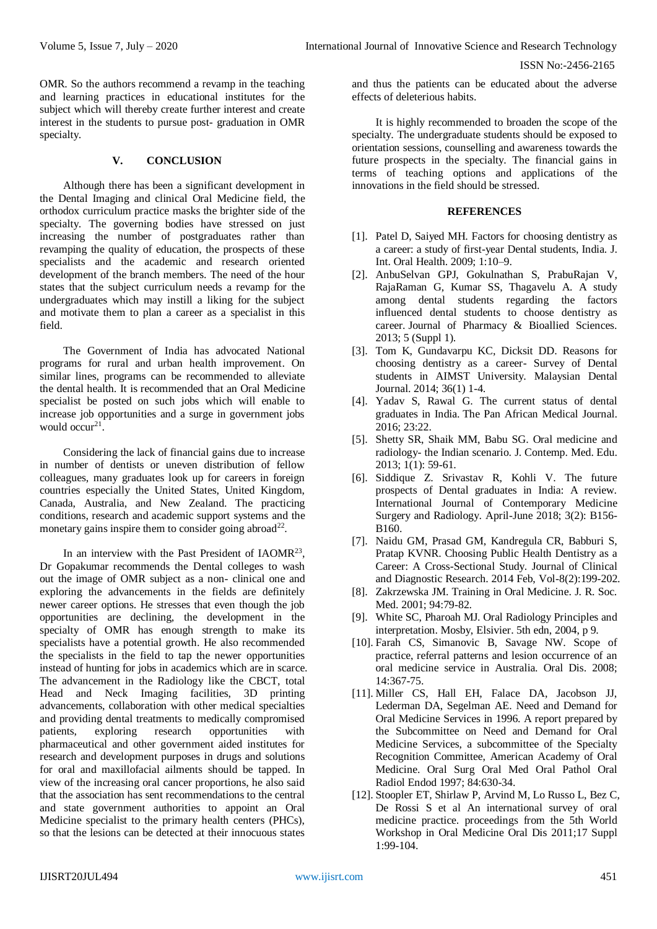OMR. So the authors recommend a revamp in the teaching and learning practices in educational institutes for the subject which will thereby create further interest and create interest in the students to pursue post- graduation in OMR specialty.

### **V. CONCLUSION**

Although there has been a significant development in the Dental Imaging and clinical Oral Medicine field, the orthodox curriculum practice masks the brighter side of the specialty. The governing bodies have stressed on just increasing the number of postgraduates rather than revamping the quality of education, the prospects of these specialists and the academic and research oriented development of the branch members. The need of the hour states that the subject curriculum needs a revamp for the undergraduates which may instill a liking for the subject and motivate them to plan a career as a specialist in this field.

The Government of India has advocated National programs for rural and urban health improvement. On similar lines, programs can be recommended to alleviate the dental health. It is recommended that an Oral Medicine specialist be posted on such jobs which will enable to increase job opportunities and a surge in government jobs would occur<sup>21</sup>.

Considering the lack of financial gains due to increase in number of dentists or uneven distribution of fellow colleagues, many graduates look up for careers in foreign countries especially the United States, United Kingdom, Canada, Australia, and New Zealand. The practicing conditions, research and academic support systems and the monetary gains inspire them to consider going abroad<sup>22</sup>.

In an interview with the Past President of IAOMR<sup>23</sup>, Dr Gopakumar recommends the Dental colleges to wash out the image of OMR subject as a non- clinical one and exploring the advancements in the fields are definitely newer career options. He stresses that even though the job opportunities are declining, the development in the specialty of OMR has enough strength to make its specialists have a potential growth. He also recommended the specialists in the field to tap the newer opportunities instead of hunting for jobs in academics which are in scarce. The advancement in the Radiology like the CBCT, total Head and Neck Imaging facilities, 3D printing advancements, collaboration with other medical specialties and providing dental treatments to medically compromised patients, exploring research opportunities with pharmaceutical and other government aided institutes for research and development purposes in drugs and solutions for oral and maxillofacial ailments should be tapped. In view of the increasing oral cancer proportions, he also said that the association has sent recommendations to the central and state government authorities to appoint an Oral Medicine specialist to the primary health centers (PHCs), so that the lesions can be detected at their innocuous states

and thus the patients can be educated about the adverse effects of deleterious habits.

It is highly recommended to broaden the scope of the specialty. The undergraduate students should be exposed to orientation sessions, counselling and awareness towards the future prospects in the specialty. The financial gains in terms of teaching options and applications of the innovations in the field should be stressed.

# **REFERENCES**

- [1]. Patel D, Saiyed MH. Factors for choosing dentistry as a career: a study of first-year Dental students, India. J. Int. Oral Health. 2009; 1:10–9.
- [2]. AnbuSelvan GPJ, Gokulnathan S, PrabuRajan V, RajaRaman G, Kumar SS, Thagavelu A. A study among dental students regarding the factors influenced dental students to choose dentistry as career. Journal of Pharmacy & Bioallied Sciences. 2013; 5 (Suppl 1).
- [3]. Tom K, Gundavarpu KC, Dicksit DD. Reasons for choosing dentistry as a career- Survey of Dental students in AIMST University. Malaysian Dental Journal. 2014; 36(1) 1-4.
- [4]. Yadav S, Rawal G. The current status of dental graduates in India. The Pan African Medical Journal. 2016; 23:22.
- [5]. Shetty SR, Shaik MM, Babu SG. Oral medicine and radiology- the Indian scenario. J. Contemp. Med. Edu. 2013; 1(1): 59-61.
- [6]. Siddique Z. Srivastav R, Kohli V. The future prospects of Dental graduates in India: A review. International Journal of Contemporary Medicine Surgery and Radiology. April-June 2018; 3(2): B156- B160.
- [7]. Naidu GM, Prasad GM, Kandregula CR, Babburi S, Pratap KVNR. Choosing Public Health Dentistry as a Career: A Cross-Sectional Study. Journal of Clinical and Diagnostic Research. 2014 Feb, Vol-8(2):199-202.
- [8]. Zakrzewska JM. Training in Oral Medicine. J. R. Soc. Med. 2001; 94:79-82.
- [9]. White SC, Pharoah MJ. Oral Radiology Principles and interpretation. Mosby, Elsivier. 5th edn, 2004, p 9.
- [10]. Farah CS, Simanovic B, Savage NW. Scope of practice, referral patterns and lesion occurrence of an oral medicine service in Australia. Oral Dis. 2008; 14:367-75.
- [11]. Miller CS, Hall EH, Falace DA, Jacobson JJ, Lederman DA, Segelman AE. Need and Demand for Oral Medicine Services in 1996. A report prepared by the Subcommittee on Need and Demand for Oral Medicine Services, a subcommittee of the Specialty Recognition Committee, American Academy of Oral Medicine. Oral Surg Oral Med Oral Pathol Oral Radiol Endod 1997; 84:630-34.
- [12]. Stoopler ET, Shirlaw P, Arvind M, Lo Russo L, Bez C, De Rossi S et al An international survey of oral medicine practice. proceedings from the 5th World Workshop in Oral Medicine Oral Dis 2011;17 Suppl 1:99-104.